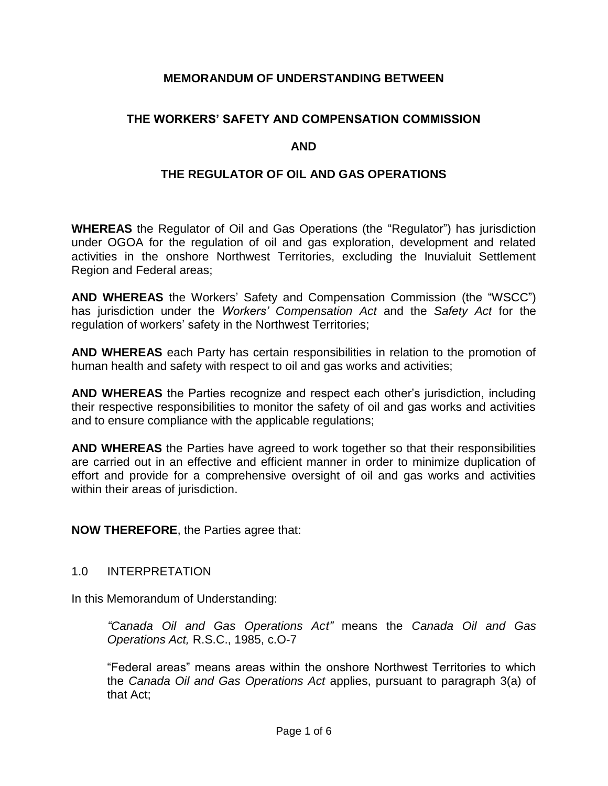# **MEMORANDUM OF UNDERSTANDING BETWEEN**

# **THE WORKERS' SAFETY AND COMPENSATION COMMISSION**

## **AND**

## **THE REGULATOR OF OIL AND GAS OPERATIONS**

**WHEREAS** the Regulator of Oil and Gas Operations (the "Regulator") has jurisdiction under OGOA for the regulation of oil and gas exploration, development and related activities in the onshore Northwest Territories, excluding the Inuvialuit Settlement Region and Federal areas;

**AND WHEREAS** the Workers' Safety and Compensation Commission (the "WSCC") has jurisdiction under the *Workers' Compensation Act* and the *Safety Act* for the regulation of workers' safety in the Northwest Territories;

**AND WHEREAS** each Party has certain responsibilities in relation to the promotion of human health and safety with respect to oil and gas works and activities;

**AND WHEREAS** the Parties recognize and respect each other's jurisdiction, including their respective responsibilities to monitor the safety of oil and gas works and activities and to ensure compliance with the applicable regulations;

**AND WHEREAS** the Parties have agreed to work together so that their responsibilities are carried out in an effective and efficient manner in order to minimize duplication of effort and provide for a comprehensive oversight of oil and gas works and activities within their areas of jurisdiction.

**NOW THEREFORE**, the Parties agree that:

## 1.0 INTERPRETATION

In this Memorandum of Understanding:

*"Canada Oil and Gas Operations Act"* means the *Canada Oil and Gas Operations Act,* R.S.C., 1985, c.O-7

"Federal areas" means areas within the onshore Northwest Territories to which the *Canada Oil and Gas Operations Act* applies, pursuant to paragraph 3(a) of that Act;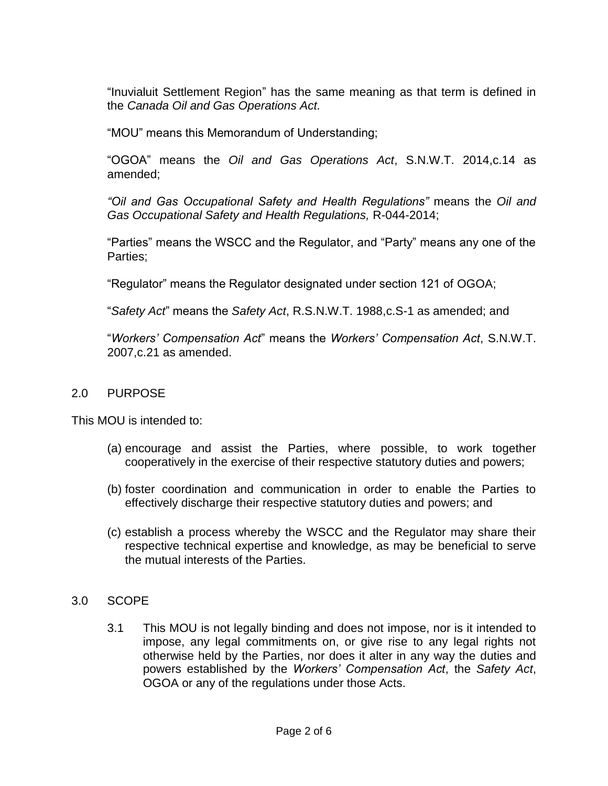"Inuvialuit Settlement Region" has the same meaning as that term is defined in the *Canada Oil and Gas Operations Act.* 

"MOU" means this Memorandum of Understanding;

"OGOA" means the *Oil and Gas Operations Act*, S.N.W.T. 2014,c.14 as amended;

*"Oil and Gas Occupational Safety and Health Regulations"* means the *Oil and Gas Occupational Safety and Health Regulations,* R-044-2014;

"Parties" means the WSCC and the Regulator, and "Party" means any one of the Parties;

"Regulator" means the Regulator designated under section 121 of OGOA;

"*Safety Act*" means the *Safety Act*, R.S.N.W.T. 1988,c.S-1 as amended; and

"*Workers' Compensation Act*" means the *Workers' Compensation Act*, S.N.W.T. 2007,c.21 as amended.

# 2.0 PURPOSE

This MOU is intended to:

- (a) encourage and assist the Parties, where possible, to work together cooperatively in the exercise of their respective statutory duties and powers;
- (b) foster coordination and communication in order to enable the Parties to effectively discharge their respective statutory duties and powers; and
- (c) establish a process whereby the WSCC and the Regulator may share their respective technical expertise and knowledge, as may be beneficial to serve the mutual interests of the Parties.
- 3.0 SCOPE
	- 3.1 This MOU is not legally binding and does not impose, nor is it intended to impose, any legal commitments on, or give rise to any legal rights not otherwise held by the Parties, nor does it alter in any way the duties and powers established by the *Workers' Compensation Act*, the *Safety Act*, OGOA or any of the regulations under those Acts.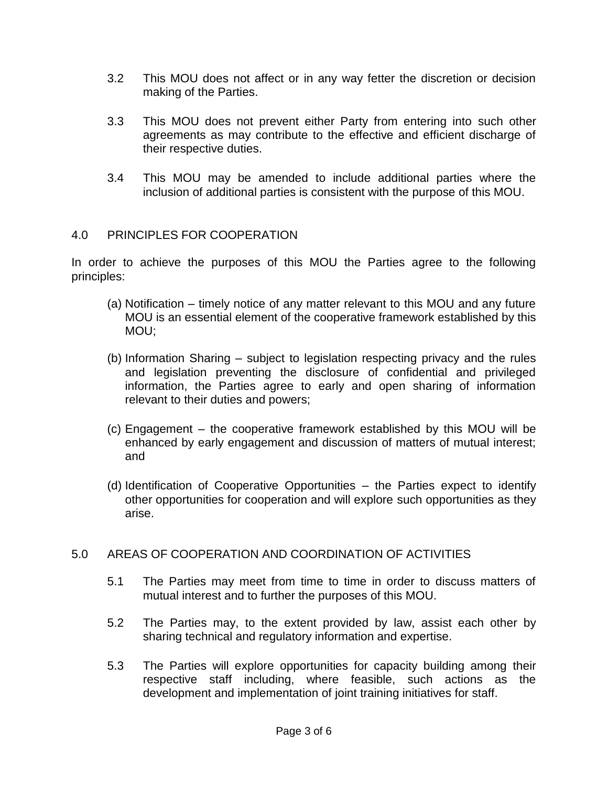- 3.2 This MOU does not affect or in any way fetter the discretion or decision making of the Parties.
- 3.3 This MOU does not prevent either Party from entering into such other agreements as may contribute to the effective and efficient discharge of their respective duties.
- 3.4 This MOU may be amended to include additional parties where the inclusion of additional parties is consistent with the purpose of this MOU.

# 4.0 PRINCIPLES FOR COOPERATION

In order to achieve the purposes of this MOU the Parties agree to the following principles:

- (a) Notification timely notice of any matter relevant to this MOU and any future MOU is an essential element of the cooperative framework established by this MOU;
- (b) Information Sharing subject to legislation respecting privacy and the rules and legislation preventing the disclosure of confidential and privileged information, the Parties agree to early and open sharing of information relevant to their duties and powers;
- (c) Engagement the cooperative framework established by this MOU will be enhanced by early engagement and discussion of matters of mutual interest; and
- (d) Identification of Cooperative Opportunities the Parties expect to identify other opportunities for cooperation and will explore such opportunities as they arise.

# 5.0 AREAS OF COOPERATION AND COORDINATION OF ACTIVITIES

- 5.1 The Parties may meet from time to time in order to discuss matters of mutual interest and to further the purposes of this MOU.
- 5.2 The Parties may, to the extent provided by law, assist each other by sharing technical and regulatory information and expertise.
- 5.3 The Parties will explore opportunities for capacity building among their respective staff including, where feasible, such actions as the development and implementation of joint training initiatives for staff.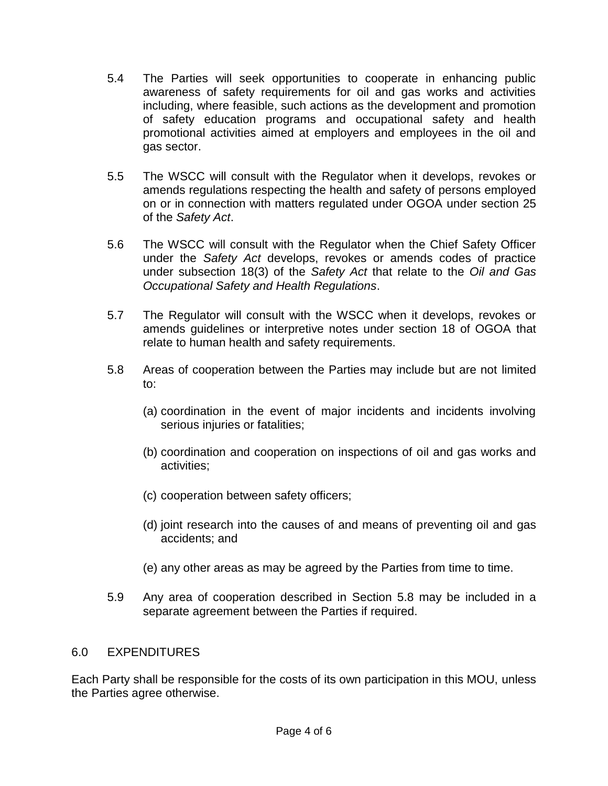- 5.4 The Parties will seek opportunities to cooperate in enhancing public awareness of safety requirements for oil and gas works and activities including, where feasible, such actions as the development and promotion of safety education programs and occupational safety and health promotional activities aimed at employers and employees in the oil and gas sector.
- 5.5 The WSCC will consult with the Regulator when it develops, revokes or amends regulations respecting the health and safety of persons employed on or in connection with matters regulated under OGOA under section 25 of the *Safety Act*.
- 5.6 The WSCC will consult with the Regulator when the Chief Safety Officer under the *Safety Act* develops, revokes or amends codes of practice under subsection 18(3) of the *Safety Act* that relate to the *Oil and Gas Occupational Safety and Health Regulations*.
- 5.7 The Regulator will consult with the WSCC when it develops, revokes or amends guidelines or interpretive notes under section 18 of OGOA that relate to human health and safety requirements.
- 5.8 Areas of cooperation between the Parties may include but are not limited to:
	- (a) coordination in the event of major incidents and incidents involving serious injuries or fatalities;
	- (b) coordination and cooperation on inspections of oil and gas works and activities;
	- (c) cooperation between safety officers;
	- (d) joint research into the causes of and means of preventing oil and gas accidents; and
	- (e) any other areas as may be agreed by the Parties from time to time.
- 5.9 Any area of cooperation described in Section 5.8 may be included in a separate agreement between the Parties if required.

# 6.0 EXPENDITURES

Each Party shall be responsible for the costs of its own participation in this MOU, unless the Parties agree otherwise.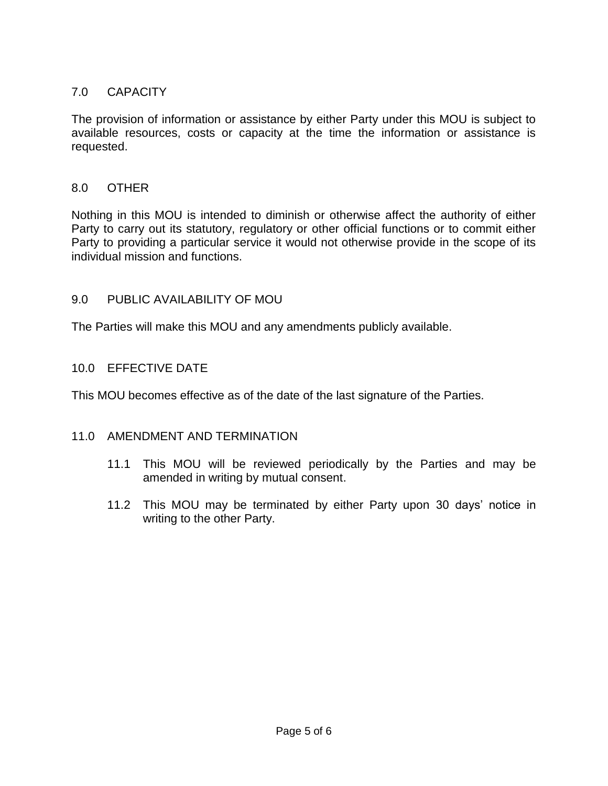# 7.0 CAPACITY

The provision of information or assistance by either Party under this MOU is subject to available resources, costs or capacity at the time the information or assistance is requested.

# 8.0 OTHER

Nothing in this MOU is intended to diminish or otherwise affect the authority of either Party to carry out its statutory, regulatory or other official functions or to commit either Party to providing a particular service it would not otherwise provide in the scope of its individual mission and functions.

## 9.0 PUBLIC AVAILABILITY OF MOU

The Parties will make this MOU and any amendments publicly available.

# 10.0 EFFECTIVE DATE

This MOU becomes effective as of the date of the last signature of the Parties.

## 11.0 AMENDMENT AND TERMINATION

- 11.1 This MOU will be reviewed periodically by the Parties and may be amended in writing by mutual consent.
- 11.2 This MOU may be terminated by either Party upon 30 days' notice in writing to the other Party.